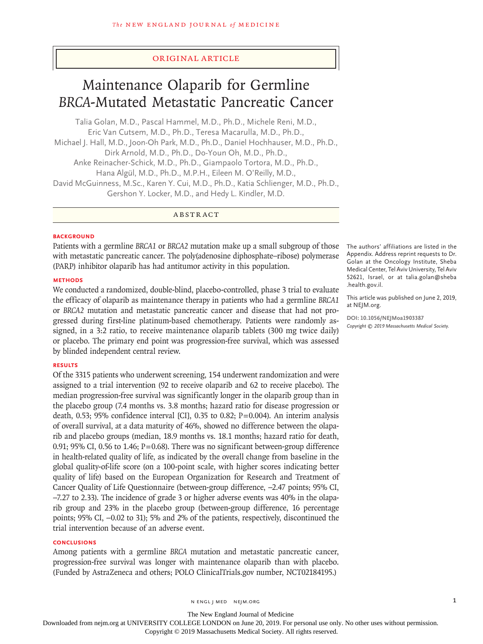# Original Article

# Maintenance Olaparib for Germline *BRCA*-Mutated Metastatic Pancreatic Cancer

Talia Golan, M.D., Pascal Hammel, M.D., Ph.D., Michele Reni, M.D., Eric Van Cutsem, M.D., Ph.D., Teresa Macarulla, M.D., Ph.D., Michael J. Hall, M.D., Joon‑Oh Park, M.D., Ph.D., Daniel Hochhauser, M.D., Ph.D., Dirk Arnold, M.D., Ph.D., Do‑Youn Oh, M.D., Ph.D., Anke Reinacher‑Schick, M.D., Ph.D., Giampaolo Tortora, M.D., Ph.D., Hana Algül, M.D., Ph.D., M.P.H., Eileen M. O'Reilly, M.D., David McGuinness, M.Sc., Karen Y. Cui, M.D., Ph.D., Katia Schlienger, M.D., Ph.D., Gershon Y. Locker, M.D., and Hedy L. Kindler, M.D.

ABSTRACT

# **BACKGROUND**

Patients with a germline *BRCA1* or *BRCA2* mutation make up a small subgroup of those with metastatic pancreatic cancer. The poly(adenosine diphosphate–ribose) polymerase (PARP) inhibitor olaparib has had antitumor activity in this population.

# **METHODS**

We conducted a randomized, double-blind, placebo-controlled, phase 3 trial to evaluate the efficacy of olaparib as maintenance therapy in patients who had a germline *BRCA1* or *BRCA2* mutation and metastatic pancreatic cancer and disease that had not progressed during first-line platinum-based chemotherapy. Patients were randomly assigned, in a 3:2 ratio, to receive maintenance olaparib tablets (300 mg twice daily) or placebo. The primary end point was progression-free survival, which was assessed by blinded independent central review.

# **RESULTS**

Of the 3315 patients who underwent screening, 154 underwent randomization and were assigned to a trial intervention (92 to receive olaparib and 62 to receive placebo). The median progression-free survival was significantly longer in the olaparib group than in the placebo group (7.4 months vs. 3.8 months; hazard ratio for disease progression or death, 0.53; 95% confidence interval [CI], 0.35 to 0.82;  $P=0.004$ ). An interim analysis of overall survival, at a data maturity of 46%, showed no difference between the olaparib and placebo groups (median, 18.9 months vs. 18.1 months; hazard ratio for death, 0.91; 95% CI, 0.56 to 1.46;  $P=0.68$ ). There was no significant between-group difference in health-related quality of life, as indicated by the overall change from baseline in the global quality-of-life score (on a 100-point scale, with higher scores indicating better quality of life) based on the European Organization for Research and Treatment of Cancer Quality of Life Questionnaire (between-group difference, −2.47 points; 95% CI, −7.27 to 2.33). The incidence of grade 3 or higher adverse events was 40% in the olaparib group and 23% in the placebo group (between-group difference, 16 percentage points; 95% CI, −0.02 to 31); 5% and 2% of the patients, respectively, discontinued the trial intervention because of an adverse event.

# **CONCLUSIONS**

Among patients with a germline *BRCA* mutation and metastatic pancreatic cancer, progression-free survival was longer with maintenance olaparib than with placebo. (Funded by AstraZeneca and others; POLO ClinicalTrials.gov number, NCT02184195.)

The authors' affiliations are listed in the Appendix. Address reprint requests to Dr. Golan at the Oncology Institute, Sheba Medical Center, Tel Aviv University, Tel Aviv 52621, Israel, or at talia.golan@sheba .health.gov.il.

This article was published on June 2, 2019, at NEJM.org.

**DOI: 10.1056/NEJMoa1903387** *Copyright © 2019 Massachusetts Medical Society.*

The New England Journal of Medicine

Downloaded from nejm.org at UNIVERSITY COLLEGE LONDON on June 20, 2019. For personal use only. No other uses without permission.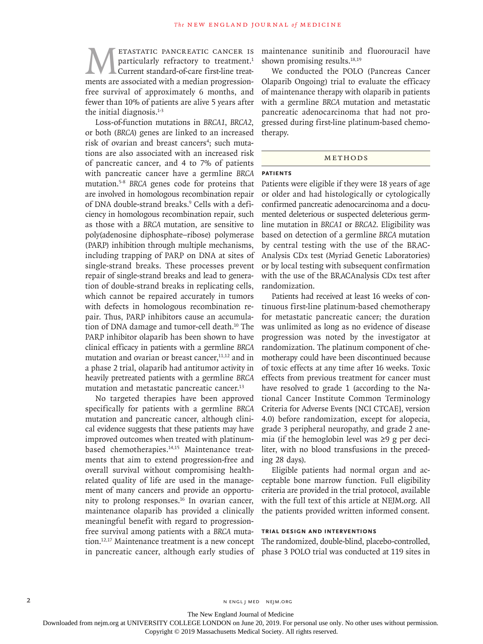**METASTATIC PANCREATIC CANCER IS**<br>
particularly refractory to treatment.<sup>1</sup><br>
ments are associated with a median progressionparticularly refractory to treatment.<sup>1</sup> Current standard-of-care first-line treatfree survival of approximately 6 months, and fewer than 10% of patients are alive 5 years after the initial diagnosis. $1-3$ 

Loss-of-function mutations in *BRCA1*, *BRCA2*, or both (*BRCA*) genes are linked to an increased risk of ovarian and breast cancers<sup>4</sup>; such mutations are also associated with an increased risk of pancreatic cancer, and 4 to 7% of patients with pancreatic cancer have a germline *BRCA* mutation.5-8 *BRCA* genes code for proteins that are involved in homologous recombination repair of DNA double-strand breaks.<sup>9</sup> Cells with a deficiency in homologous recombination repair, such as those with a *BRCA* mutation, are sensitive to poly(adenosine diphosphate–ribose) polymerase (PARP) inhibition through multiple mechanisms, including trapping of PARP on DNA at sites of single-strand breaks. These processes prevent repair of single-strand breaks and lead to generation of double-strand breaks in replicating cells, which cannot be repaired accurately in tumors with defects in homologous recombination repair. Thus, PARP inhibitors cause an accumulation of DNA damage and tumor-cell death.<sup>10</sup> The PARP inhibitor olaparib has been shown to have clinical efficacy in patients with a germline *BRCA* mutation and ovarian or breast cancer,<sup>11,12</sup> and in a phase 2 trial, olaparib had antitumor activity in heavily pretreated patients with a germline *BRCA* mutation and metastatic pancreatic cancer.<sup>13</sup>

No targeted therapies have been approved specifically for patients with a germline *BRCA* mutation and pancreatic cancer, although clinical evidence suggests that these patients may have improved outcomes when treated with platinumbased chemotherapies.14,15 Maintenance treatments that aim to extend progression-free and overall survival without compromising healthrelated quality of life are used in the management of many cancers and provide an opportunity to prolong responses.<sup>16</sup> In ovarian cancer, maintenance olaparib has provided a clinically meaningful benefit with regard to progressionfree survival among patients with a *BRCA* mutain pancreatic cancer, although early studies of phase 3 POLO trial was conducted at 119 sites in

maintenance sunitinib and fluorouracil have shown promising results.<sup>18,19</sup>

We conducted the POLO (Pancreas Cancer Olaparib Ongoing) trial to evaluate the efficacy of maintenance therapy with olaparib in patients with a germline *BRCA* mutation and metastatic pancreatic adenocarcinoma that had not progressed during first-line platinum-based chemotherapy.

## METHODS

# **Patients**

Patients were eligible if they were 18 years of age or older and had histologically or cytologically confirmed pancreatic adenocarcinoma and a documented deleterious or suspected deleterious germline mutation in *BRCA1* or *BRCA2*. Eligibility was based on detection of a germline *BRCA* mutation by central testing with the use of the BRAC-Analysis CDx test (Myriad Genetic Laboratories) or by local testing with subsequent confirmation with the use of the BRACAnalysis CDx test after randomization.

Patients had received at least 16 weeks of continuous first-line platinum-based chemotherapy for metastatic pancreatic cancer; the duration was unlimited as long as no evidence of disease progression was noted by the investigator at randomization. The platinum component of chemotherapy could have been discontinued because of toxic effects at any time after 16 weeks. Toxic effects from previous treatment for cancer must have resolved to grade 1 (according to the National Cancer Institute Common Terminology Criteria for Adverse Events [NCI CTCAE], version 4.0) before randomization, except for alopecia, grade 3 peripheral neuropathy, and grade 2 anemia (if the hemoglobin level was ≥9 g per deciliter, with no blood transfusions in the preceding 28 days).

Eligible patients had normal organ and acceptable bone marrow function. Full eligibility criteria are provided in the trial protocol, available with the full text of this article at NEJM.org. All the patients provided written informed consent.

# **Trial Design and Interventions**

tion.12,17 Maintenance treatment is a new concept The randomized, double-blind, placebo-controlled,

2 N ENGL J MED NEJM.ORG

The New England Journal of Medicine

Downloaded from nejm.org at UNIVERSITY COLLEGE LONDON on June 20, 2019. For personal use only. No other uses without permission.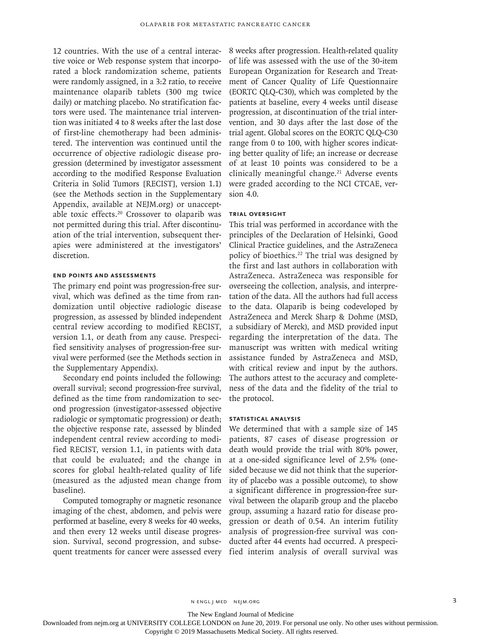12 countries. With the use of a central interactive voice or Web response system that incorporated a block randomization scheme, patients were randomly assigned, in a 3:2 ratio, to receive maintenance olaparib tablets (300 mg twice daily) or matching placebo. No stratification factors were used. The maintenance trial intervention was initiated 4 to 8 weeks after the last dose of first-line chemotherapy had been administered. The intervention was continued until the occurrence of objective radiologic disease progression (determined by investigator assessment according to the modified Response Evaluation Criteria in Solid Tumors [RECIST], version 1.1) (see the Methods section in the Supplementary Appendix, available at NEJM.org) or unacceptable toxic effects.<sup>20</sup> Crossover to olaparib was not permitted during this trial. After discontinuation of the trial intervention, subsequent therapies were administered at the investigators' discretion.

# **End Points and Assessments**

The primary end point was progression-free survival, which was defined as the time from randomization until objective radiologic disease progression, as assessed by blinded independent central review according to modified RECIST, version 1.1, or death from any cause. Prespecified sensitivity analyses of progression-free survival were performed (see the Methods section in the Supplementary Appendix).

Secondary end points included the following: overall survival; second progression-free survival, defined as the time from randomization to second progression (investigator-assessed objective radiologic or symptomatic progression) or death; the objective response rate, assessed by blinded independent central review according to modified RECIST, version 1.1, in patients with data that could be evaluated; and the change in scores for global health-related quality of life (measured as the adjusted mean change from baseline).

Computed tomography or magnetic resonance imaging of the chest, abdomen, and pelvis were performed at baseline, every 8 weeks for 40 weeks, and then every 12 weeks until disease progression. Survival, second progression, and subsequent treatments for cancer were assessed every 8 weeks after progression. Health-related quality of life was assessed with the use of the 30-item European Organization for Research and Treatment of Cancer Quality of Life Questionnaire (EORTC QLQ-C30), which was completed by the patients at baseline, every 4 weeks until disease progression, at discontinuation of the trial intervention, and 30 days after the last dose of the trial agent. Global scores on the EORTC QLQ-C30 range from 0 to 100, with higher scores indicating better quality of life; an increase or decrease of at least 10 points was considered to be a clinically meaningful change.<sup>21</sup> Adverse events were graded according to the NCI CTCAE, version 4.0.

# **Trial Oversight**

This trial was performed in accordance with the principles of the Declaration of Helsinki, Good Clinical Practice guidelines, and the AstraZeneca policy of bioethics.22 The trial was designed by the first and last authors in collaboration with AstraZeneca. AstraZeneca was responsible for overseeing the collection, analysis, and interpretation of the data. All the authors had full access to the data. Olaparib is being codeveloped by AstraZeneca and Merck Sharp & Dohme (MSD, a subsidiary of Merck), and MSD provided input regarding the interpretation of the data. The manuscript was written with medical writing assistance funded by AstraZeneca and MSD, with critical review and input by the authors. The authors attest to the accuracy and completeness of the data and the fidelity of the trial to the protocol.

# **Statistical Analysis**

We determined that with a sample size of 145 patients, 87 cases of disease progression or death would provide the trial with 80% power, at a one-sided significance level of 2.5% (onesided because we did not think that the superiority of placebo was a possible outcome), to show a significant difference in progression-free survival between the olaparib group and the placebo group, assuming a hazard ratio for disease progression or death of 0.54. An interim futility analysis of progression-free survival was conducted after 44 events had occurred. A prespecified interim analysis of overall survival was

n engl j med nejm.org 3

The New England Journal of Medicine

Downloaded from nejm.org at UNIVERSITY COLLEGE LONDON on June 20, 2019. For personal use only. No other uses without permission.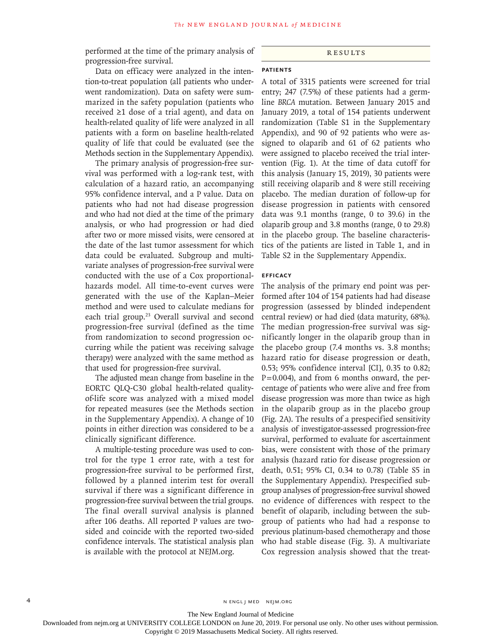performed at the time of the primary analysis of progression-free survival.

Data on efficacy were analyzed in the intention-to-treat population (all patients who underwent randomization). Data on safety were summarized in the safety population (patients who received ≥1 dose of a trial agent), and data on health-related quality of life were analyzed in all patients with a form on baseline health-related quality of life that could be evaluated (see the Methods section in the Supplementary Appendix).

The primary analysis of progression-free survival was performed with a log-rank test, with calculation of a hazard ratio, an accompanying 95% confidence interval, and a P value. Data on patients who had not had disease progression and who had not died at the time of the primary analysis, or who had progression or had died after two or more missed visits, were censored at the date of the last tumor assessment for which data could be evaluated. Subgroup and multivariate analyses of progression-free survival were conducted with the use of a Cox proportionalhazards model. All time-to-event curves were generated with the use of the Kaplan–Meier method and were used to calculate medians for each trial group.<sup>23</sup> Overall survival and second progression-free survival (defined as the time from randomization to second progression occurring while the patient was receiving salvage therapy) were analyzed with the same method as that used for progression-free survival.

The adjusted mean change from baseline in the EORTC QLQ-C30 global health-related qualityof-life score was analyzed with a mixed model for repeated measures (see the Methods section in the Supplementary Appendix). A change of 10 points in either direction was considered to be a clinically significant difference.

A multiple-testing procedure was used to control for the type 1 error rate, with a test for progression-free survival to be performed first, followed by a planned interim test for overall survival if there was a significant difference in progression-free survival between the trial groups. The final overall survival analysis is planned after 106 deaths. All reported P values are twosided and coincide with the reported two-sided confidence intervals. The statistical analysis plan is available with the protocol at NEJM.org.

# Results

# **Patients**

A total of 3315 patients were screened for trial entry; 247 (7.5%) of these patients had a germline *BRCA* mutation. Between January 2015 and January 2019, a total of 154 patients underwent randomization (Table S1 in the Supplementary Appendix), and 90 of 92 patients who were assigned to olaparib and 61 of 62 patients who were assigned to placebo received the trial intervention (Fig. 1). At the time of data cutoff for this analysis (January 15, 2019), 30 patients were still receiving olaparib and 8 were still receiving placebo. The median duration of follow-up for disease progression in patients with censored data was 9.1 months (range, 0 to 39.6) in the olaparib group and 3.8 months (range, 0 to 29.8) in the placebo group. The baseline characteristics of the patients are listed in Table 1, and in Table S2 in the Supplementary Appendix.

# **Efficacy**

The analysis of the primary end point was performed after 104 of 154 patients had had disease progression (assessed by blinded independent central review) or had died (data maturity, 68%). The median progression-free survival was significantly longer in the olaparib group than in the placebo group (7.4 months vs. 3.8 months; hazard ratio for disease progression or death, 0.53; 95% confidence interval [CI], 0.35 to 0.82; P=0.004), and from 6 months onward, the percentage of patients who were alive and free from disease progression was more than twice as high in the olaparib group as in the placebo group (Fig. 2A). The results of a prespecified sensitivity analysis of investigator-assessed progression-free survival, performed to evaluate for ascertainment bias, were consistent with those of the primary analysis (hazard ratio for disease progression or death, 0.51; 95% CI, 0.34 to 0.78) (Table S5 in the Supplementary Appendix). Prespecified subgroup analyses of progression-free survival showed no evidence of differences with respect to the benefit of olaparib, including between the subgroup of patients who had had a response to previous platinum-based chemotherapy and those who had stable disease (Fig. 3). A multivariate Cox regression analysis showed that the treat-

4 **n engl j med negl j med nejm.org** N ENGL J MED NEJM.ORG

The New England Journal of Medicine

Downloaded from nejm.org at UNIVERSITY COLLEGE LONDON on June 20, 2019. For personal use only. No other uses without permission.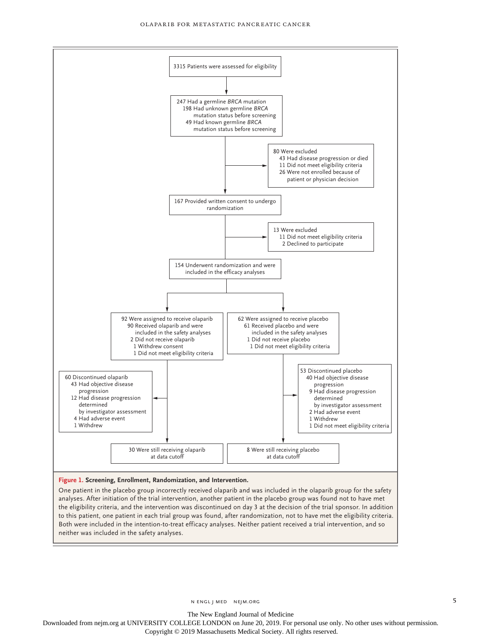

#### **Figure 1. Screening, Enrollment, Randomization, and Intervention.**

One patient in the placebo group incorrectly received olaparib and was included in the olaparib group for the safety analyses. After initiation of the trial intervention, another patient in the placebo group was found not to have met the eligibility criteria, and the intervention was discontinued on day 3 at the decision of the trial sponsor. In addition to this patient, one patient in each trial group was found, after randomization, not to have met the eligibility criteria. Both were included in the intention-to-treat efficacy analyses. Neither patient received a trial intervention, and so neither was included in the safety analyses.

n engl j med nejm.org 5

The New England Journal of Medicine

Downloaded from nejm.org at UNIVERSITY COLLEGE LONDON on June 20, 2019. For personal use only. No other uses without permission.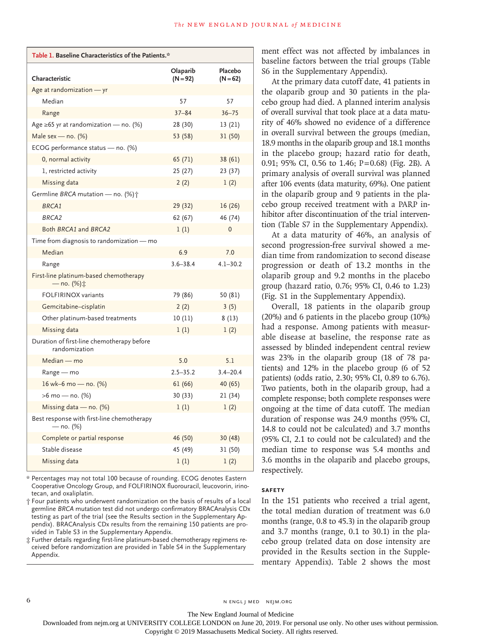| Table 1. Baseline Characteristics of the Patients.*         |                        |                       |  |  |  |  |  |  |
|-------------------------------------------------------------|------------------------|-----------------------|--|--|--|--|--|--|
| Characteristic                                              | Olaparib<br>$(N = 92)$ | Placebo<br>$(N = 62)$ |  |  |  |  |  |  |
| Age at randomization - yr                                   |                        |                       |  |  |  |  |  |  |
| Median                                                      | 57                     | 57                    |  |  |  |  |  |  |
| Range                                                       | $37 - 84$              | $36 - 75$             |  |  |  |  |  |  |
| Age $\geq 65$ yr at randomization — no. (%)                 | 28 (30)                | 13 (21)               |  |  |  |  |  |  |
| Male sex — no. $(\%)$                                       | 53 (58)                | 31 (50)               |  |  |  |  |  |  |
| ECOG performance status - no. (%)                           |                        |                       |  |  |  |  |  |  |
| 0, normal activity                                          | 65 (71)                | 38 (61)               |  |  |  |  |  |  |
| 1, restricted activity                                      | 25 (27)                | 23(37)                |  |  |  |  |  |  |
| Missing data                                                | 2(2)                   | 1(2)                  |  |  |  |  |  |  |
| Germline BRCA mutation - no. $(\%)\uparrow$                 |                        |                       |  |  |  |  |  |  |
| <b>BRCA1</b>                                                | 29 (32)                | 16 (26)               |  |  |  |  |  |  |
| BRCA <sub>2</sub>                                           | 62 (67)                | 46 (74)               |  |  |  |  |  |  |
| Both BRCA1 and BRCA2                                        | 1(1)                   | $\mathbf 0$           |  |  |  |  |  |  |
| Time from diagnosis to randomization - mo                   |                        |                       |  |  |  |  |  |  |
| Median                                                      | 6.9                    | 7.0                   |  |  |  |  |  |  |
| Range                                                       | $3.6 - 38.4$           | $4.1 - 30.2$          |  |  |  |  |  |  |
| First-line platinum-based chemotherapy<br>— no. (%)‡        |                        |                       |  |  |  |  |  |  |
| <b>FOLFIRINOX variants</b>                                  | 79 (86)                | 50 (81)               |  |  |  |  |  |  |
| Gemcitabine-cisplatin                                       | 2(2)                   | 3(5)                  |  |  |  |  |  |  |
| Other platinum-based treatments                             | 10(11)                 | 8(13)                 |  |  |  |  |  |  |
| Missing data                                                | 1(1)                   | 1(2)                  |  |  |  |  |  |  |
| Duration of first-line chemotherapy before<br>randomization |                        |                       |  |  |  |  |  |  |
| Median - mo                                                 | 5.0                    | 5.1                   |  |  |  |  |  |  |
| Range — mo                                                  | $2.5 - 35.2$           | $3.4 - 20.4$          |  |  |  |  |  |  |
| 16 wk-6 mo - no. (%)                                        | 61(66)                 | 40 (65)               |  |  |  |  |  |  |
| $>6$ mo – no. (%)                                           | 30 (33)                | 21 (34)               |  |  |  |  |  |  |
| Missing data $-$ no. (%)                                    | 1(1)                   | 1(2)                  |  |  |  |  |  |  |
| Best response with first-line chemotherapy<br>— no. (%)     |                        |                       |  |  |  |  |  |  |
| Complete or partial response                                | 46 (50)                | 30 (48)               |  |  |  |  |  |  |
| Stable disease                                              | 45 (49)                | 31 (50)               |  |  |  |  |  |  |
| Missing data                                                | 1(1)                   | 1(2)                  |  |  |  |  |  |  |

\* Percentages may not total 100 because of rounding. ECOG denotes Eastern Cooperative Oncology Group, and FOLFIRINOX fluorouracil, leucovorin, irinotecan, and oxaliplatin.

† Four patients who underwent randomization on the basis of results of a local germline *BRCA* mutation test did not undergo confirmatory BRACAnalysis CDx testing as part of the trial (see the Results section in the Supplementary Appendix). BRACAnalysis CDx results from the remaining 150 patients are provided in Table S3 in the Supplementary Appendix.

‡ Further details regarding first-line platinum-based chemotherapy regimens re‑ ceived before randomization are provided in Table S4 in the Supplementary Appendix.

ment effect was not affected by imbalances in baseline factors between the trial groups (Table S6 in the Supplementary Appendix).

At the primary data cutoff date, 41 patients in the olaparib group and 30 patients in the placebo group had died. A planned interim analysis of overall survival that took place at a data maturity of 46% showed no evidence of a difference in overall survival between the groups (median, 18.9 months in the olaparib group and 18.1 months in the placebo group; hazard ratio for death, 0.91; 95% CI, 0.56 to 1.46; P=0.68) (Fig. 2B). A primary analysis of overall survival was planned after 106 events (data maturity, 69%). One patient in the olaparib group and 9 patients in the placebo group received treatment with a PARP inhibitor after discontinuation of the trial intervention (Table S7 in the Supplementary Appendix).

At a data maturity of 46%, an analysis of second progression-free survival showed a median time from randomization to second disease progression or death of 13.2 months in the olaparib group and 9.2 months in the placebo group (hazard ratio, 0.76; 95% CI, 0.46 to 1.23) (Fig. S1 in the Supplementary Appendix).

Overall, 18 patients in the olaparib group (20%) and 6 patients in the placebo group (10%) had a response. Among patients with measurable disease at baseline, the response rate as assessed by blinded independent central review was 23% in the olaparib group (18 of 78 patients) and 12% in the placebo group (6 of 52 patients) (odds ratio, 2.30; 95% CI, 0.89 to 6.76). Two patients, both in the olaparib group, had a complete response; both complete responses were ongoing at the time of data cutoff. The median duration of response was 24.9 months (95% CI, 14.8 to could not be calculated) and 3.7 months (95% CI, 2.1 to could not be calculated) and the median time to response was 5.4 months and 3.6 months in the olaparib and placebo groups, respectively.

## **Safety**

In the 151 patients who received a trial agent, the total median duration of treatment was 6.0 months (range, 0.8 to 45.3) in the olaparib group and 3.7 months (range, 0.1 to 30.1) in the placebo group (related data on dose intensity are provided in the Results section in the Supplementary Appendix). Table 2 shows the most

6 **n** engl j med nejm.org neighbors in the neutral media  $\frac{1}{2}$  media  $\frac{1}{2}$  media  $\frac{1}{2}$  media  $\frac{1}{2}$  media  $\frac{1}{2}$  media  $\frac{1}{2}$  media  $\frac{1}{2}$  media  $\frac{1}{2}$  media  $\frac{1}{2}$  media  $\frac{1}{2}$  media  $\frac{1$ 

The New England Journal of Medicine

Downloaded from nejm.org at UNIVERSITY COLLEGE LONDON on June 20, 2019. For personal use only. No other uses without permission.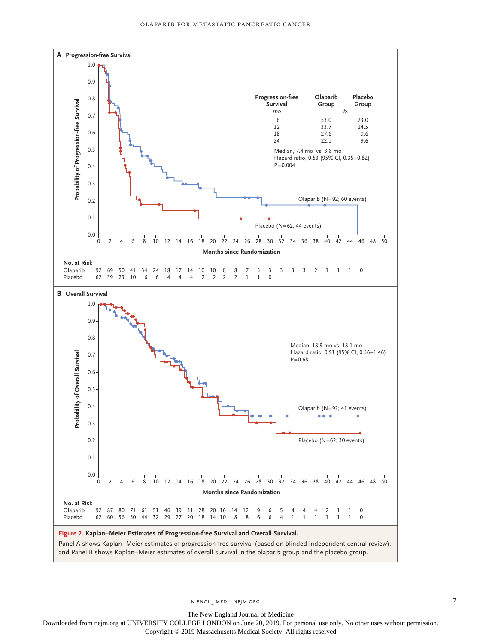

n engl j med nejm.org 7

The New England Journal of Medicine

Downloaded from nejm.org at UNIVERSITY COLLEGE LONDON on June 20, 2019. For personal use only. No other uses without permission.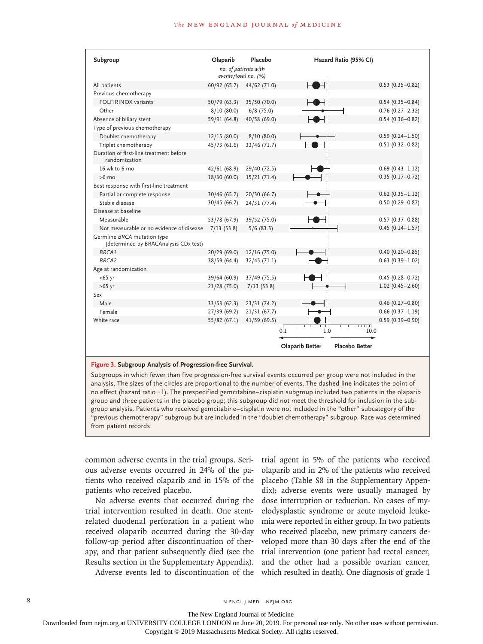| Subgroup                                                             | Olaparib     | Placebo<br>no. of patients with<br>events/total no. (%) |                 | Hazard Ratio (95% CI) |
|----------------------------------------------------------------------|--------------|---------------------------------------------------------|-----------------|-----------------------|
| All patients                                                         | 60/92(65.2)  | 44/62 (71.0)                                            |                 | $0.53(0.35 - 0.82)$   |
| Previous chemotherapy                                                |              |                                                         |                 |                       |
| <b>FOLFIRINOX variants</b>                                           | 50/79 (63.3) | 35/50 (70.0)                                            |                 | $0.54(0.35 - 0.84)$   |
| Other                                                                | 8/10(80.0)   | $6/8$ (75.0)                                            |                 | $0.76(0.27 - 2.32)$   |
| Absence of biliary stent                                             | 59/91 (64.8) | 40/58 (69.0)                                            |                 | $0.54(0.36 - 0.82)$   |
| Type of previous chemotherapy                                        |              |                                                         |                 |                       |
| Doublet chemotherapy                                                 | 12/15(80.0)  | 8/10(80.0)                                              |                 | $0.59(0.24 - 1.50)$   |
| Triplet chemotherapy                                                 | 45/73 (61.6) | 33/46 (71.7)                                            |                 | $0.51(0.32 - 0.82)$   |
| Duration of first-line treatment before<br>randomization             |              |                                                         |                 |                       |
| 16 wk to 6 mo                                                        | 42/61 (68.9) | 29/40 (72.5)                                            |                 | $0.69(0.43 - 1.12)$   |
| $>6$ mo                                                              | 18/30 (60.0) | 15/21(71.4)                                             |                 | $0.35(0.17-0.72)$     |
| Best response with first-line treatment                              |              |                                                         |                 |                       |
| Partial or complete response                                         | 30/46 (65.2) | 20/30 (66.7)                                            |                 | $0.62(0.35 - 1.12)$   |
| Stable disease                                                       | 30/45 (66.7) | 24/31 (77.4)                                            |                 | $0.50(0.29 - 0.87)$   |
| Disease at baseline                                                  |              |                                                         |                 |                       |
| Measurable                                                           | 53/78 (67.9) | 39/52 (75.0)                                            |                 | $0.57(0.37 - 0.88)$   |
| Not measurable or no evidence of disease                             | 7/13(53.8)   | 5/6(83.3)                                               |                 | $0.45(0.14 - 1.57)$   |
| Germline BRCA mutation type<br>(determined by BRACAnalysis CDx test) |              |                                                         |                 |                       |
| BRCA1                                                                | 20/29 (69.0) | 12/16(75.0)                                             |                 | $0.40(0.20 - 0.85)$   |
| <b>BRCA2</b>                                                         | 38/59 (64.4) | 32/45 (71.1)                                            |                 | $0.63(0.39 - 1.02)$   |
| Age at randomization                                                 |              |                                                         |                 |                       |
| $<$ 65 yr                                                            | 39/64 (60.9) | 37/49 (75.5)                                            |                 | $0.45(0.28 - 0.72)$   |
| $\geq 65$ yr                                                         | 21/28 (75.0) | 7/13(53.8)                                              |                 | $1.02(0.45 - 2.60)$   |
| Sex                                                                  |              |                                                         |                 |                       |
| Male                                                                 | 33/53(62.3)  | 23/31 (74.2)                                            |                 | $0.46(0.27-0.80)$     |
| Female                                                               | 27/39 (69.2) | 21/31(67.7)                                             |                 | $0.66(0.37 - 1.19)$   |
| White race                                                           | 55/82(67.1)  | 41/59 (69.5)                                            |                 | $0.59(0.39 - 0.90)$   |
|                                                                      |              |                                                         | 1.0<br>0.1      | TП<br>10.0            |
|                                                                      |              |                                                         | Olaparib Better | <b>Placebo Better</b> |

#### **Figure 3. Subgroup Analysis of Progression-free Survival.**

Subgroups in which fewer than five progression-free survival events occurred per group were not included in the analysis. The sizes of the circles are proportional to the number of events. The dashed line indicates the point of no effect (hazard ratio=1). The prespecified gemcitabine–cisplatin subgroup included two patients in the olaparib group and three patients in the placebo group; this subgroup did not meet the threshold for inclusion in the sub‑ group analysis. Patients who received gemcitabine–cisplatin were not included in the "other" subcategory of the "previous chemotherapy" subgroup but are included in the "doublet chemotherapy" subgroup. Race was determined from patient records.

common adverse events in the trial groups. Serious adverse events occurred in 24% of the patients who received olaparib and in 15% of the patients who received placebo.

No adverse events that occurred during the trial intervention resulted in death. One stentrelated duodenal perforation in a patient who received olaparib occurred during the 30-day follow-up period after discontinuation of therapy, and that patient subsequently died (see the Results section in the Supplementary Appendix).

Adverse events led to discontinuation of the

trial agent in 5% of the patients who received olaparib and in 2% of the patients who received placebo (Table S8 in the Supplementary Appendix); adverse events were usually managed by dose interruption or reduction. No cases of myelodysplastic syndrome or acute myeloid leukemia were reported in either group. In two patients who received placebo, new primary cancers developed more than 30 days after the end of the trial intervention (one patient had rectal cancer, and the other had a possible ovarian cancer, which resulted in death). One diagnosis of grade 1

8 N ENGL J MED NEJM.ORG

The New England Journal of Medicine

Downloaded from nejm.org at UNIVERSITY COLLEGE LONDON on June 20, 2019. For personal use only. No other uses without permission.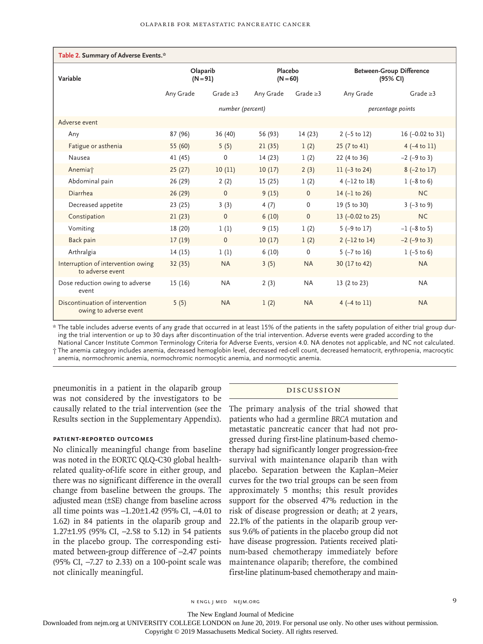| Table 2. Summary of Adverse Events.*                      |                                                 |                |           |                                             |                             |                             |  |  |  |
|-----------------------------------------------------------|-------------------------------------------------|----------------|-----------|---------------------------------------------|-----------------------------|-----------------------------|--|--|--|
| Variable                                                  | Olaparib<br>Placebo<br>$(N = 60)$<br>$(N = 91)$ |                |           | <b>Between-Group Difference</b><br>(95% CI) |                             |                             |  |  |  |
|                                                           | Any Grade                                       | Grade $\geq$ 3 | Any Grade | Grade $\geq$ 3                              | Any Grade                   | Grade $\geq$ 3              |  |  |  |
|                                                           | number (percent)                                |                |           |                                             | percentage points           |                             |  |  |  |
| Adverse event                                             |                                                 |                |           |                                             |                             |                             |  |  |  |
| Any                                                       | 87 (96)                                         | 36 (40)        | 56 (93)   | 14(23)                                      | $2 (-5 to 12)$              | 16 $(-0.02 \text{ to } 31)$ |  |  |  |
| Fatigue or asthenia                                       | 55 (60)                                         | 5(5)           | 21(35)    | 1(2)                                        | 25 (7 to 41)                | $4 (-4 to 11)$              |  |  |  |
| Nausea                                                    | 41 (45)                                         | 0              | 14(23)    | 1(2)                                        | 22 (4 to 36)                | $-2$ ( $-9$ to 3)           |  |  |  |
| Anemia <sup>+</sup>                                       | 25(27)                                          | 10(11)         | 10(17)    | 2(3)                                        | $11 (-3 to 24)$             | $8$ (-2 to 17)              |  |  |  |
| Abdominal pain                                            | 26 (29)                                         | 2(2)           | 15(25)    | 1(2)                                        | $4 (-12 to 18)$             | $1 (-8 to 6)$               |  |  |  |
| Diarrhea                                                  | 26(29)                                          | $\mathbf{0}$   | 9(15)     | $\mathbf{0}$                                | $14 (-1 to 26)$             | <b>NC</b>                   |  |  |  |
| Decreased appetite                                        | 23(25)                                          | 3(3)           | 4(7)      | $\mathbf 0$                                 | 19 (5 to 30)                | $3 (-3 to 9)$               |  |  |  |
| Constipation                                              | 21(23)                                          | $\mathbf{0}$   | 6(10)     | $\mathbf{0}$                                | 13 $(-0.02 \text{ to } 25)$ | <b>NC</b>                   |  |  |  |
| Vomiting                                                  | 18 (20)                                         | 1(1)           | 9(15)     | 1(2)                                        | $5$ (-9 to 17)              | $-1$ (-8 to 5)              |  |  |  |
| Back pain                                                 | 17(19)                                          | $\mathbf{0}$   | 10(17)    | 1(2)                                        | $2 (-12 to 14)$             | $-2$ ( $-9$ to 3)           |  |  |  |
| Arthralgia                                                | 14(15)                                          | 1(1)           | 6(10)     | $\Omega$                                    | $5$ ( $-7$ to 16)           | $1 (-5 to 6)$               |  |  |  |
| Interruption of intervention owing<br>to adverse event    | 32(35)                                          | <b>NA</b>      | 3(5)      | <b>NA</b>                                   | 30 (17 to 42)               | <b>NA</b>                   |  |  |  |
| Dose reduction owing to adverse<br>event                  | 15(16)                                          | <b>NA</b>      | 2(3)      | <b>NA</b>                                   | 13 (2 to 23)                | <b>NA</b>                   |  |  |  |
| Discontinuation of intervention<br>owing to adverse event | 5(5)                                            | <b>NA</b>      | 1(2)      | <b>NA</b>                                   | $4(-4 \text{ to } 11)$      | <b>NA</b>                   |  |  |  |

\* The table includes adverse events of any grade that occurred in at least 15% of the patients in the safety population of either trial group dur‑ ing the trial intervention or up to 30 days after discontinuation of the trial intervention. Adverse events were graded according to the

National Cancer Institute Common Terminology Criteria for Adverse Events, version 4.0. NA denotes not applicable, and NC not calculated. † The anemia category includes anemia, decreased hemoglobin level, decreased red-cell count, decreased hematocrit, erythropenia, macrocytic anemia, normochromic anemia, normochromic normocytic anemia, and normocytic anemia.

pneumonitis in a patient in the olaparib group was not considered by the investigators to be causally related to the trial intervention (see the Results section in the Supplementary Appendix).

# **Patient-Reported Outcomes**

No clinically meaningful change from baseline was noted in the EORTC QLQ-C30 global healthrelated quality-of-life score in either group, and there was no significant difference in the overall change from baseline between the groups. The adjusted mean (±SE) change from baseline across all time points was −1.20±1.42 (95% CI, −4.01 to 1.62) in 84 patients in the olaparib group and 1.27±1.95 (95% CI, −2.58 to 5.12) in 54 patients in the placebo group. The corresponding estimated between-group difference of −2.47 points (95% CI, −7.27 to 2.33) on a 100-point scale was not clinically meaningful.

# Discussion

The primary analysis of the trial showed that patients who had a germline *BRCA* mutation and metastatic pancreatic cancer that had not progressed during first-line platinum-based chemotherapy had significantly longer progression-free survival with maintenance olaparib than with placebo. Separation between the Kaplan–Meier curves for the two trial groups can be seen from approximately 5 months; this result provides support for the observed 47% reduction in the risk of disease progression or death; at 2 years, 22.1% of the patients in the olaparib group versus 9.6% of patients in the placebo group did not have disease progression. Patients received platinum-based chemotherapy immediately before maintenance olaparib; therefore, the combined first-line platinum-based chemotherapy and main-

The New England Journal of Medicine

Downloaded from nejm.org at UNIVERSITY COLLEGE LONDON on June 20, 2019. For personal use only. No other uses without permission.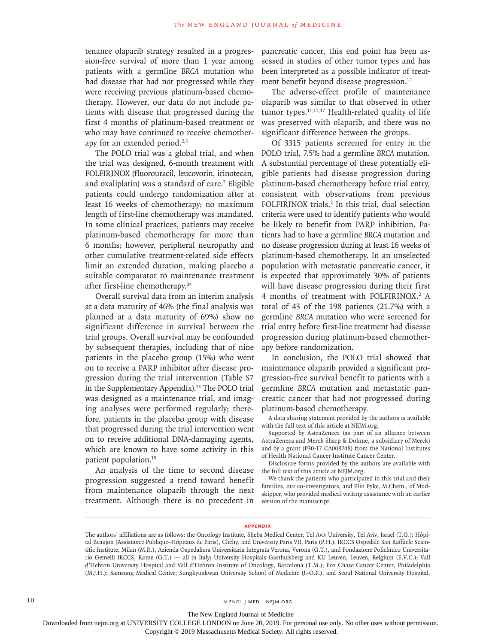tenance olaparib strategy resulted in a progression-free survival of more than 1 year among patients with a germline *BRCA* mutation who had disease that had not progressed while they were receiving previous platinum-based chemotherapy. However, our data do not include patients with disease that progressed during the first 4 months of platinum-based treatment or who may have continued to receive chemotherapy for an extended period.<sup>2,3</sup>

The POLO trial was a global trial, and when the trial was designed, 6-month treatment with FOLFIRINOX (fluorouracil, leucovorin, irinotecan, and oxaliplatin) was a standard of care.<sup>2</sup> Eligible patients could undergo randomization after at least 16 weeks of chemotherapy; no maximum length of first-line chemotherapy was mandated. In some clinical practices, patients may receive platinum-based chemotherapy for more than 6 months; however, peripheral neuropathy and other cumulative treatment-related side effects limit an extended duration, making placebo a suitable comparator to maintenance treatment after first-line chemotherapy.24

Overall survival data from an interim analysis at a data maturity of 46% (the final analysis was planned at a data maturity of 69%) show no significant difference in survival between the trial groups. Overall survival may be confounded by subsequent therapies, including that of nine patients in the placebo group (15%) who went on to receive a PARP inhibitor after disease progression during the trial intervention (Table S7 in the Supplementary Appendix).13 The POLO trial was designed as a maintenance trial, and imaging analyses were performed regularly; therefore, patients in the placebo group with disease that progressed during the trial intervention went on to receive additional DNA-damaging agents, which are known to have some activity in this patient population.15

An analysis of the time to second disease progression suggested a trend toward benefit from maintenance olaparib through the next treatment. Although there is no precedent in

pancreatic cancer, this end point has been assessed in studies of other tumor types and has been interpreted as a possible indicator of treatment benefit beyond disease progression.<sup>12</sup>

The adverse-effect profile of maintenance olaparib was similar to that observed in other tumor types. $11,12,17$  Health-related quality of life was preserved with olaparib, and there was no significant difference between the groups.

Of 3315 patients screened for entry in the POLO trial, 7.5% had a germline *BRCA* mutation. A substantial percentage of these potentially eligible patients had disease progression during platinum-based chemotherapy before trial entry, consistent with observations from previous FOLFIRINOX trials.<sup>2</sup> In this trial, dual selection criteria were used to identify patients who would be likely to benefit from PARP inhibition. Patients had to have a germline *BRCA* mutation and no disease progression during at least 16 weeks of platinum-based chemotherapy. In an unselected population with metastatic pancreatic cancer, it is expected that approximately 30% of patients will have disease progression during their first 4 months of treatment with FOLFIRINOX.<sup>2</sup> A total of 43 of the 198 patients (21.7%) with a germline *BRCA* mutation who were screened for trial entry before first-line treatment had disease progression during platinum-based chemotherapy before randomization.

In conclusion, the POLO trial showed that maintenance olaparib provided a significant progression-free survival benefit to patients with a germline *BRCA* mutation and metastatic pancreatic cancer that had not progressed during platinum-based chemotherapy.

A data sharing statement provided by the authors is available with the full text of this article at NEJM.org.

Supported by AstraZeneca (as part of an alliance between AstraZeneca and Merck Sharp & Dohme, a subsidiary of Merck) and by a grant (P30-17 CA008748) from the National Institutes of Health National Cancer Institute Cancer Center.

Disclosure forms provided by the authors are available with the full text of this article at NEJM.org.

We thank the patients who participated in this trial and their families, our co-investigators, and Elin Pyke, M.Chem., of Mudskipper, who provided medical writing assistance with an earlier version of the manuscript.

#### **Appendix**

10 N ENGL J MED NEJM.ORG

The New England Journal of Medicine

Downloaded from nejm.org at UNIVERSITY COLLEGE LONDON on June 20, 2019. For personal use only. No other uses without permission.

The authors' affiliations are as follows: the Oncology Institute, Sheba Medical Center, Tel Aviv University, Tel Aviv, Israel (T.G.); Hôpital Beaujon (Assistance Publique–Hôpitaux de Paris), Clichy, and University Paris VII, Paris (P.H.); IRCCS Ospedale San Raffaele Scientific Institute, Milan (M.R.), Azienda Ospedaliera Universitaria Integrata Verona, Verona (G.T.), and Fondazione Policlinico Universitario Gemelli IRCCS, Rome (G.T.) — all in Italy; University Hospitals Gasthuisberg and KU Leuven, Leuven, Belgium (E.V.C.); Vall d'Hebron University Hospital and Vall d'Hebron Institute of Oncology, Barcelona (T.M.); Fox Chase Cancer Center, Philadelphia (M.J.H.); Samsung Medical Center, Sungkyunkwan University School of Medicine (J.-O.P.), and Seoul National University Hospital,